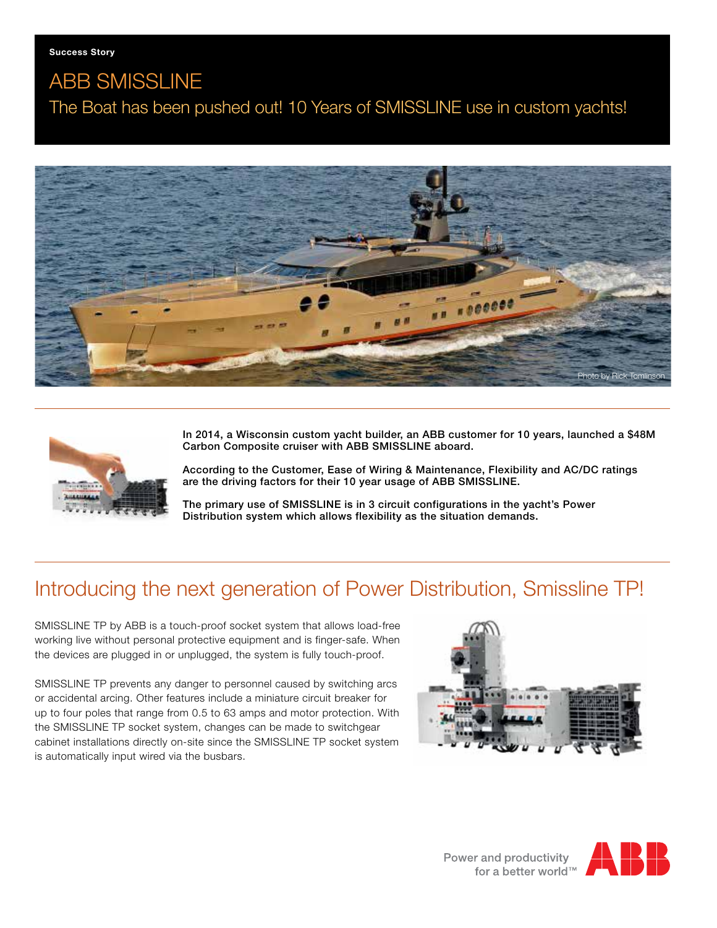# ABB SMISSLINE The Boat has been pushed out! 10 Years of SMISSLINE use in custom yachts!





In 2014, a Wisconsin custom yacht builder, an ABB customer for 10 years, launched a \$48M Carbon Composite cruiser with ABB SMISSLINE aboard.

According to the Customer, Ease of Wiring & Maintenance, Flexibility and AC/DC ratings are the driving factors for their 10 year usage of ABB SMISSLINE.

The primary use of SMISSLINE is in 3 circuit configurations in the yacht's Power Distribution system which allows flexibility as the situation demands.

# Introducing the next generation of Power Distribution, Smissline TP!

SMISSLINE TP by ABB is a touch-proof socket system that allows load-free working live without personal protective equipment and is finger-safe. When the devices are plugged in or unplugged, the system is fully touch-proof.

SMISSLINE TP prevents any danger to personnel caused by switching arcs or accidental arcing. Other features include a miniature circuit breaker for up to four poles that range from 0.5 to 63 amps and motor protection. With the SMISSLINE TP socket system, changes can be made to switchgear cabinet installations directly on-site since the SMISSLINE TP socket system is automatically input wired via the busbars.